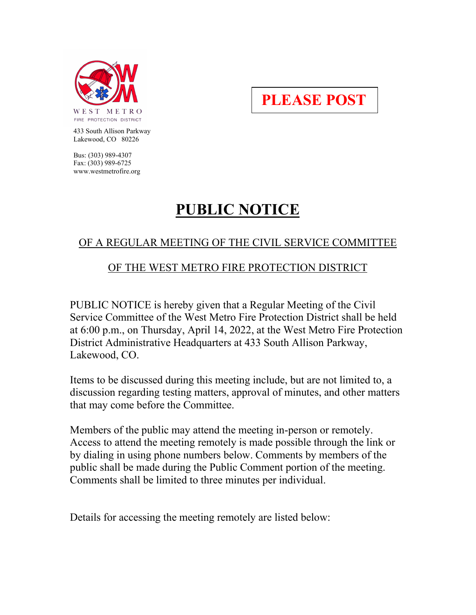

**PLEASE POST**

 433 South Allison Parkway Lakewood, CO 80226

 Bus: (303) 989-4307 Fax: (303) 989-6725 www.westmetrofire.org

# **PUBLIC NOTICE**

## OF A REGULAR MEETING OF THE CIVIL SERVICE COMMITTEE

## OF THE WEST METRO FIRE PROTECTION DISTRICT

PUBLIC NOTICE is hereby given that a Regular Meeting of the Civil Service Committee of the West Metro Fire Protection District shall be held at 6:00 p.m., on Thursday, April 14, 2022, at the West Metro Fire Protection District Administrative Headquarters at 433 South Allison Parkway, Lakewood, CO.

Items to be discussed during this meeting include, but are not limited to, a discussion regarding testing matters, approval of minutes, and other matters that may come before the Committee.

Members of the public may attend the meeting in-person or remotely. Access to attend the meeting remotely is made possible through the link or by dialing in using phone numbers below. Comments by members of the public shall be made during the Public Comment portion of the meeting. Comments shall be limited to three minutes per individual.

Details for accessing the meeting remotely are listed below: